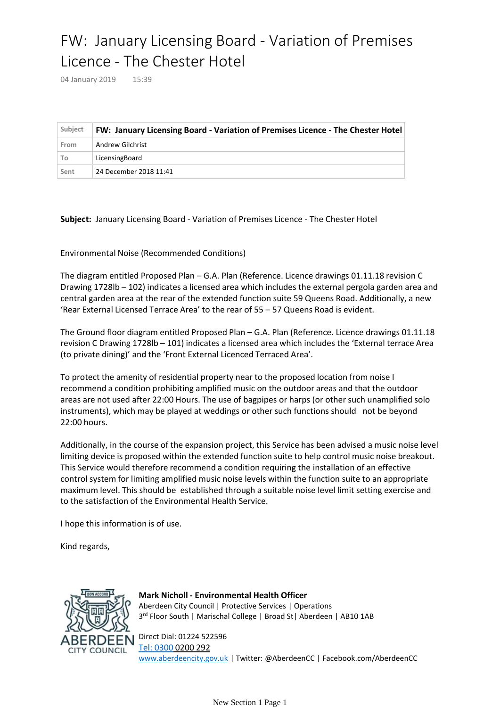## FW: January Licensing Board - Variation of Premises Licence - The Chester Hotel

04 January 2019 15:39

| Subject | FW: January Licensing Board - Variation of Premises Licence - The Chester Hotel |
|---------|---------------------------------------------------------------------------------|
| From    | Andrew Gilchrist                                                                |
| To      | LicensingBoard                                                                  |
| Sent    | 24 December 2018 11:41                                                          |

**Subject:** January Licensing Board - Variation of Premises Licence - The Chester Hotel

Environmental Noise (Recommended Conditions)

The diagram entitled Proposed Plan – G.A. Plan (Reference. Licence drawings 01.11.18 revision C Drawing 1728lb – 102) indicates a licensed area which includes the external pergola garden area and central garden area at the rear of the extended function suite 59 Queens Road. Additionally, a new 'Rear External Licensed Terrace Area' to the rear of 55 – 57 Queens Road is evident.

The Ground floor diagram entitled Proposed Plan – G.A. Plan (Reference. Licence drawings 01.11.18 revision C Drawing 1728lb – 101) indicates a licensed area which includes the 'External terrace Area (to private dining)' and the 'Front External Licenced Terraced Area'.

To protect the amenity of residential property near to the proposed location from noise I recommend a condition prohibiting amplified music on the outdoor areas and that the outdoor areas are not used after 22:00 Hours. The use of bagpipes or harps (or other such unamplified solo instruments), which may be played at weddings or other such functions should not be beyond 22:00 hours.

Additionally, in the course of the expansion project, this Service has been advised a music noise level limiting device is proposed within the extended function suite to help control music noise breakout. This Service would therefore recommend a condition requiring the installation of an effective control system for limiting amplified music noise levels within the function suite to an appropriate maximum level. This should be established through a suitable noise level limit setting exercise and to the satisfaction of the Environmental Health Service.

I hope this information is of use.

Kind regards,



**Mark Nicholl - Environmental Health Officer** Aberdeen City Council | Protective Services | Operations 3 rd Floor South | Marischal College | Broad St| Aberdeen | AB10 1AB

Direct Dial: 01224 522596 [Tel: 0300](tel:0300) 0200 292 [www.aberdeencity.gov.uk](http://www.aberdeencity.gov.uk) | Twitter: @AberdeenCC | Facebook.com/AberdeenCC